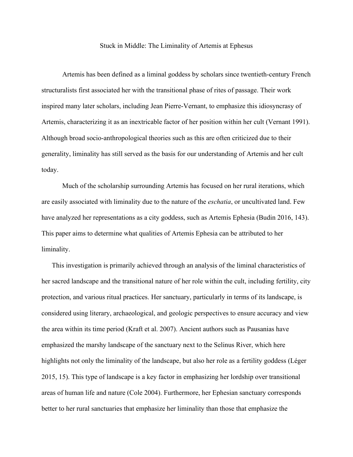Stuck in Middle: The Liminality of Artemis at Ephesus

Artemis has been defined as a liminal goddess by scholars since twentieth-century French structuralists first associated her with the transitional phase of rites of passage. Their work inspired many later scholars, including Jean Pierre-Vernant, to emphasize this idiosyncrasy of Artemis, characterizing it as an inextricable factor of her position within her cult (Vernant 1991). Although broad socio-anthropological theories such as this are often criticized due to their generality, liminality has still served as the basis for our understanding of Artemis and her cult today.

Much of the scholarship surrounding Artemis has focused on her rural iterations, which are easily associated with liminality due to the nature of the *eschatia*, or uncultivated land. Few have analyzed her representations as a city goddess, such as Artemis Ephesia (Budin 2016, 143). This paper aims to determine what qualities of Artemis Ephesia can be attributed to her liminality.

This investigation is primarily achieved through an analysis of the liminal characteristics of her sacred landscape and the transitional nature of her role within the cult, including fertility, city protection, and various ritual practices. Her sanctuary, particularly in terms of its landscape, is considered using literary, archaeological, and geologic perspectives to ensure accuracy and view the area within its time period (Kraft et al. 2007). Ancient authors such as Pausanias have emphasized the marshy landscape of the sanctuary next to the Selinus River, which here highlights not only the liminality of the landscape, but also her role as a fertility goddess (Léger 2015, 15). This type of landscape is a key factor in emphasizing her lordship over transitional areas of human life and nature (Cole 2004). Furthermore, her Ephesian sanctuary corresponds better to her rural sanctuaries that emphasize her liminality than those that emphasize the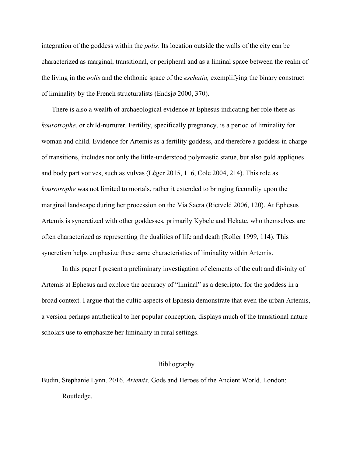integration of the goddess within the *polis*. Its location outside the walls of the city can be characterized as marginal, transitional, or peripheral and as a liminal space between the realm of the living in the *polis* and the chthonic space of the *eschatia,* exemplifying the binary construct of liminality by the French structuralists (Endsjø 2000, 370).

There is also a wealth of archaeological evidence at Ephesus indicating her role there as *kourotrophe*, or child-nurturer. Fertility, specifically pregnancy, is a period of liminality for woman and child. Evidence for Artemis as a fertility goddess, and therefore a goddess in charge of transitions, includes not only the little-understood polymastic statue, but also gold appliques and body part votives, such as vulvas (Léger 2015, 116, Cole 2004, 214). This role as *kourotrophe* was not limited to mortals, rather it extended to bringing fecundity upon the marginal landscape during her procession on the Via Sacra (Rietveld 2006, 120). At Ephesus Artemis is syncretized with other goddesses, primarily Kybele and Hekate, who themselves are often characterized as representing the dualities of life and death (Roller 1999, 114). This syncretism helps emphasize these same characteristics of liminality within Artemis.

In this paper I present a preliminary investigation of elements of the cult and divinity of Artemis at Ephesus and explore the accuracy of "liminal" as a descriptor for the goddess in a broad context. I argue that the cultic aspects of Ephesia demonstrate that even the urban Artemis, a version perhaps antithetical to her popular conception, displays much of the transitional nature scholars use to emphasize her liminality in rural settings.

## Bibliography

Budin, Stephanie Lynn. 2016. *Artemis*. Gods and Heroes of the Ancient World. London: Routledge.